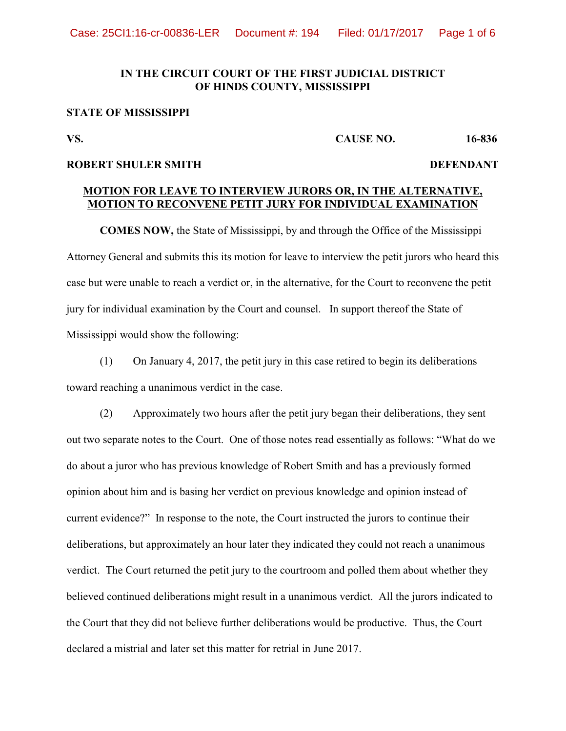### **IN THE CIRCUIT COURT OF THE FIRST JUDICIAL DISTRICT** OF HINDS COUNTY, MISSISSIPP

# **STATE OF MISSISSIPPI 1**

# **VS.** CAUSE NO. 10-030

## **ROBERT SHULER SMITH**

### **MOTION FOR LEAVE TO INTERVIEW JURORS OR, IN THE ALTERNATIVE, MOTION TO RECONVENE PETIT JURY FOR INDIVIDUAL EXAMINATION**

**COMES NOW,** the State of Mississippi, by and through the Office of the Mississippi Attorney General and submits this its motion for leave to interview the petit jurors who heard this case but were unable to reach a verdict or, in the alternative, for the Court to reconvene the petit jury for individual examination by the Court and counsel. In support thereof the State of Mississippi would show the following:

(1) On January 4, 2017, the petit jury in this case retired to begin its deliberations toward reaching a unanimous verdict in the case.

(2) Approximately two hours after the petit jury began their deliberations, they sent out two separate notes to the Court. One of those notes read essentially as follows: "What do we do about a juror who has previous knowledge of Robert Smith and has a previously formed opinion about him and is basing her verdict on previous knowledge and opinion instead of current evidence?" In response to the note, the Court instructed the jurors to continue their deliberations, but approximately an hour later they indicated they could not reach a unanimous verdict. The Court returned the petit jury to the courtroom and polled them about whether they believed continued deliberations might result in a unanimous verdict. All the jurors indicated to the Court that they did not believe further deliberations would be productive. Thus, the Court declared a mistrial and later set this matter for retrial in June 2017.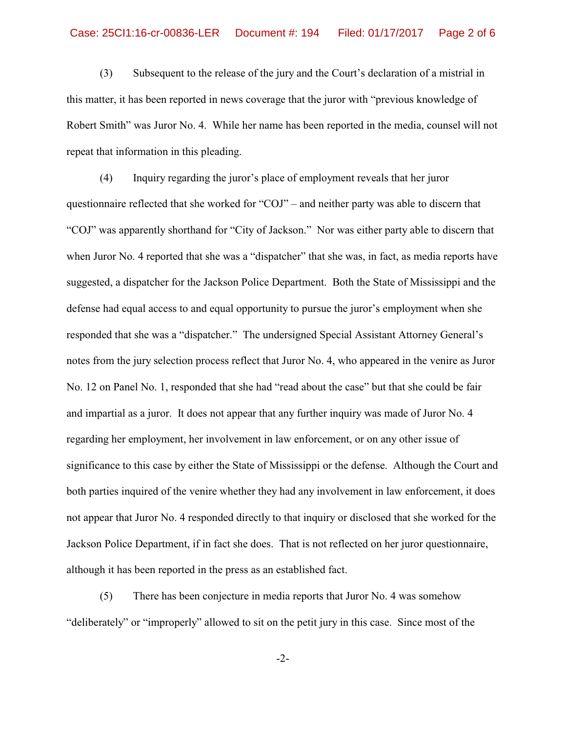(3) Subsequent to the release of the jury and the Court's declaration of a mistrial in this matter, it has been reported in news coverage that the juror with "previous knowledge of Robert Smith" was Juror No. 4. While her name has been reported in the media, counsel will not repeat that information in this pleading.

(4) Inquiry regarding the juror's place of employment reveals that her juror questionnaire reflected that she worked for "COJ" – and neither party was able to discern that "COJ" was apparently shorthand for "City of Jackson." Nor was either party able to discern that when Juror No. 4 reported that she was a "dispatcher" that she was, in fact, as media reports have suggested, a dispatcher for the Jackson Police Department. Both the State of Mississippi and the defense had equal access to and equal opportunity to pursue the juror's employment when she responded that she was a "dispatcher." The undersigned Special Assistant Attorney General's notes from the jury selection process reflect that Juror No. 4, who appeared in the venire as Juror No. 12 on Panel No. 1, responded that she had "read about the case" but that she could be fair and impartial as a juror. It does not appear that any further inquiry was made of Juror No. 4 regarding her employment, her involvement in law enforcement, or on any other issue of significance to this case by either the State of Mississippi or the defense. Although the Court and both parties inquired of the venire whether they had any involvement in law enforcement, it does not appear that Juror No. 4 responded directly to that inquiry or disclosed that she worked for the Jackson Police Department, if in fact she does. That is not reflected on her juror questionnaire, although it has been reported in the press as an established fact.

(5) There has been conjecture in media reports that Juror No. 4 was somehow "deliberately" or "improperly" allowed to sit on the petit jury in this case. Since most of the

-2-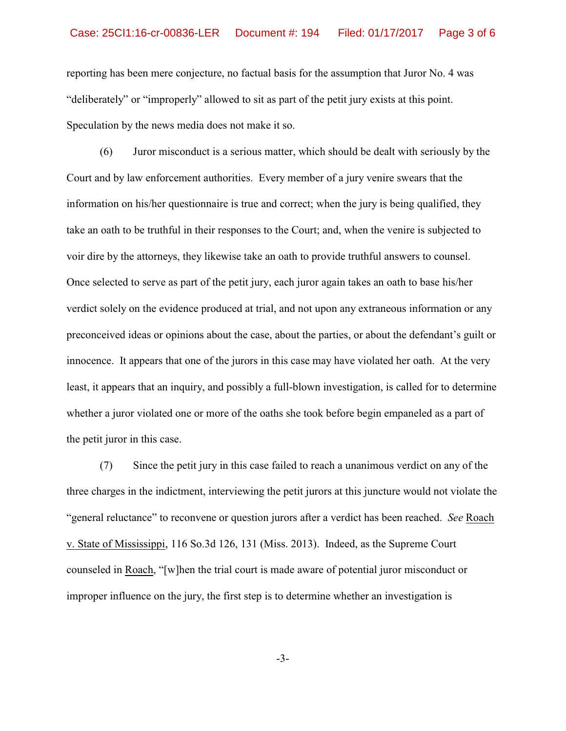reporting has been mere conjecture, no factual basis for the assumption that Juror No. 4 was "deliberately" or "improperly" allowed to sit as part of the petit jury exists at this point. Speculation by the news media does not make it so.

(6) Juror misconduct is a serious matter, which should be dealt with seriously by the Court and by law enforcement authorities. Every member of a jury venire swears that the information on his/her questionnaire is true and correct; when the jury is being qualified, they take an oath to be truthful in their responses to the Court; and, when the venire is subjected to voir dire by the attorneys, they likewise take an oath to provide truthful answers to counsel. Once selected to serve as part of the petit jury, each juror again takes an oath to base his/her verdict solely on the evidence produced at trial, and not upon any extraneous information or any preconceived ideas or opinions about the case, about the parties, or about the defendant's guilt or innocence. It appears that one of the jurors in this case may have violated her oath. At the very least, it appears that an inquiry, and possibly a full-blown investigation, is called for to determine whether a juror violated one or more of the oaths she took before begin empaneled as a part of the petit juror in this case.

(7) Since the petit jury in this case failed to reach a unanimous verdict on any of the three charges in the indictment, interviewing the petit jurors at this juncture would not violate the "general reluctance" to reconvene or question jurors after a verdict has been reached. *See* Roach v. State of Mississippi, 116 So.3d 126, 131 (Miss. 2013). Indeed, as the Supreme Court counseled in Roach, "[w]hen the trial court is made aware of potential juror misconduct or improper influence on the jury, the first step is to determine whether an investigation is

-3-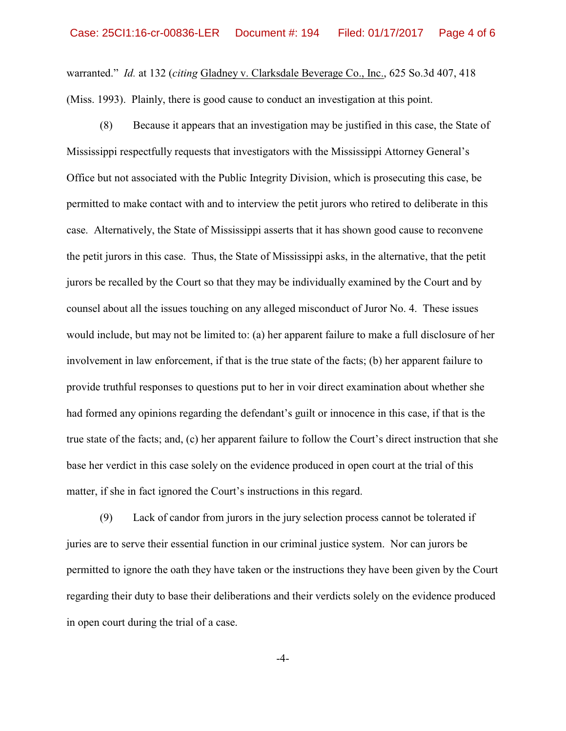warranted." *Id.* at 132 (*citing* Gladney v. Clarksdale Beverage Co., Inc., 625 So.3d 407, 418 (Miss. 1993). Plainly, there is good cause to conduct an investigation at this point.

(8) Because it appears that an investigation may be justified in this case, the State of Mississippi respectfully requests that investigators with the Mississippi Attorney General's Office but not associated with the Public Integrity Division, which is prosecuting this case, be permitted to make contact with and to interview the petit jurors who retired to deliberate in this case. Alternatively, the State of Mississippi asserts that it has shown good cause to reconvene the petit jurors in this case. Thus, the State of Mississippi asks, in the alternative, that the petit jurors be recalled by the Court so that they may be individually examined by the Court and by counsel about all the issues touching on any alleged misconduct of Juror No. 4. These issues would include, but may not be limited to: (a) her apparent failure to make a full disclosure of her involvement in law enforcement, if that is the true state of the facts; (b) her apparent failure to provide truthful responses to questions put to her in voir direct examination about whether she had formed any opinions regarding the defendant's guilt or innocence in this case, if that is the true state of the facts; and, (c) her apparent failure to follow the Court's direct instruction that she base her verdict in this case solely on the evidence produced in open court at the trial of this matter, if she in fact ignored the Court's instructions in this regard.

(9) Lack of candor from jurors in the jury selection process cannot be tolerated if juries are to serve their essential function in our criminal justice system. Nor can jurors be permitted to ignore the oath they have taken or the instructions they have been given by the Court regarding their duty to base their deliberations and their verdicts solely on the evidence produced in open court during the trial of a case.

-4-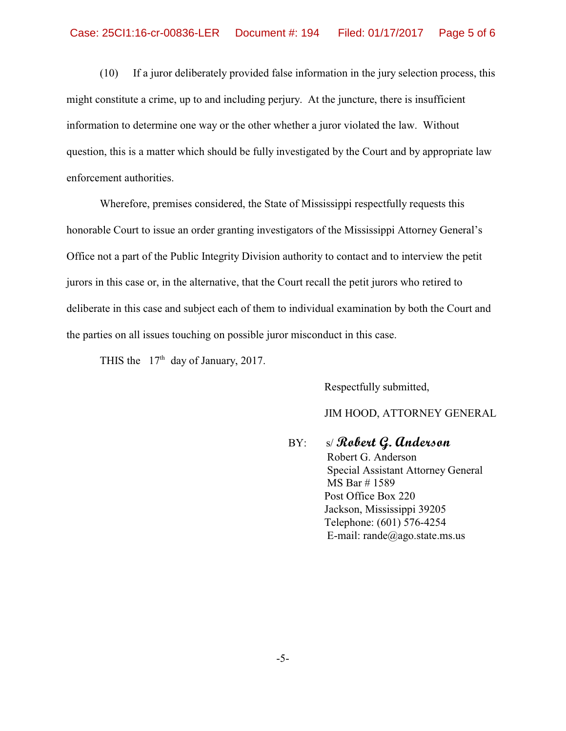(10) If a juror deliberately provided false information in the jury selection process, this might constitute a crime, up to and including perjury. At the juncture, there is insufficient information to determine one way or the other whether a juror violated the law. Without question, this is a matter which should be fully investigated by the Court and by appropriate law enforcement authorities.

Wherefore, premises considered, the State of Mississippi respectfully requests this honorable Court to issue an order granting investigators of the Mississippi Attorney General's Office not a part of the Public Integrity Division authority to contact and to interview the petit jurors in this case or, in the alternative, that the Court recall the petit jurors who retired to deliberate in this case and subject each of them to individual examination by both the Court and the parties on all issues touching on possible juror misconduct in this case.

THIS the  $17<sup>th</sup>$  day of January, 2017.

Respectfully submitted,

JIM HOOD, ATTORNEY GENERAL

 BY: s/ **Robert G. Anderson** Robert G. Anderson Special Assistant Attorney General MS Bar # 1589 Post Office Box 220 Jackson, Mississippi 39205 Telephone: (601) 576-4254 E-mail: rande@ago.state.ms.us